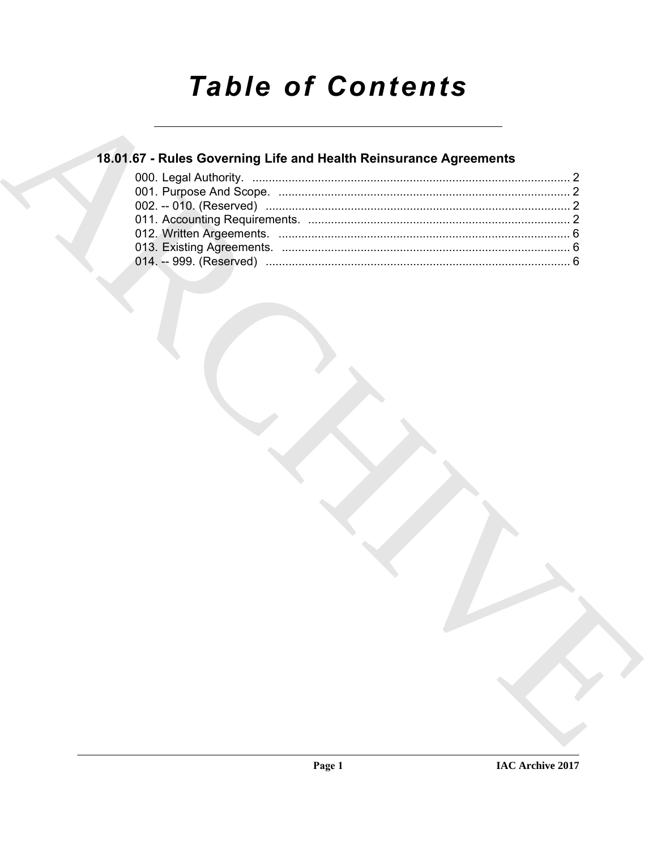# **Table of Contents**

# 18.01.67 - Rules Governing Life and Health Reinsurance Agreements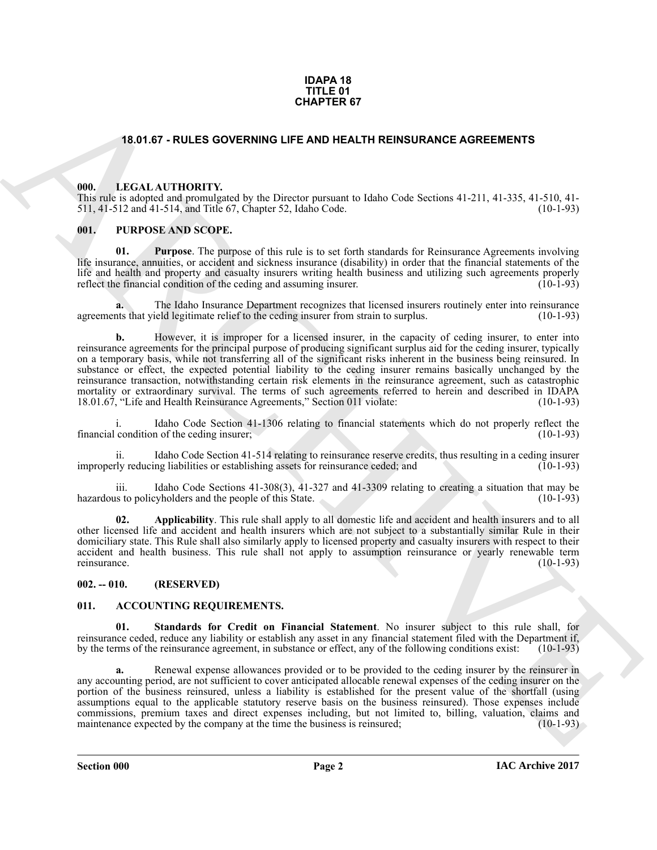#### **IDAPA 18 TITLE 01 CHAPTER 67**

#### <span id="page-1-0"></span>**18.01.67 - RULES GOVERNING LIFE AND HEALTH REINSURANCE AGREEMENTS**

#### <span id="page-1-1"></span>**000. LEGAL AUTHORITY.**

This rule is adopted and promulgated by the Director pursuant to Idaho Code Sections 41-211, 41-335, 41-510, 41- 511, 41-512 and 41-514, and Title 67, Chapter 52, Idaho Code. (10-1-93)

#### <span id="page-1-2"></span>**001. PURPOSE AND SCOPE.**

**01. Purpose**. The purpose of this rule is to set forth standards for Reinsurance Agreements involving life insurance, annuities, or accident and sickness insurance (disability) in order that the financial statements of the life and health and property and casualty insurers writing health business and utilizing such agreements properly reflect the financial condition of the ceding and assuming insurer. (10-1-93) reflect the financial condition of the ceding and assuming insurer.

**a.** The Idaho Insurance Department recognizes that licensed insurers routinely enter into reinsurance agreements that yield legitimate relief to the ceding insurer from strain to surplus. (10-1-93)

**54.81 F.F. FRUES OCVERNING LIFE AND HEALTH REINSURANCE AGREEMENTS<br>
10.81 F.F. N. (1614) 11100 FTV, the Direct pursuant to Italian Code Sections 41 211.4 135. 41 510, 11<br>
1111-1111 F.F. N. (1614) 1120-121 F. N. (1614) 112 b.** However, it is improper for a licensed insurer, in the capacity of ceding insurer, to enter into reinsurance agreements for the principal purpose of producing significant surplus aid for the ceding insurer, typically on a temporary basis, while not transferring all of the significant risks inherent in the business being reinsured. In substance or effect, the expected potential liability to the ceding insurer remains basically unchanged by the reinsurance transaction, notwithstanding certain risk elements in the reinsurance agreement, such as catastrophic mortality or extraordinary survival. The terms of such agreements referred to herein and described in IDAPA 18.01.67, "Life and Health Reinsurance Agreements," Section 011 violate: (10-1-93)

i. Idaho Code Section 41-1306 relating to financial statements which do not properly reflect the financial condition of the ceding insurer;

ii. Idaho Code Section 41-514 relating to reinsurance reserve credits, thus resulting in a ceding insurer<br>rly reducing liabilities or establishing assets for reinsurance ceded; and (10-1-93) improperly reducing liabilities or establishing assets for reinsurance ceded; and

iii. Idaho Code Sections 41-308(3), 41-327 and 41-3309 relating to creating a situation that may be us to policyholders and the people of this State.  $(10-1-93)$ hazardous to policyholders and the people of this State.

**02. Applicability**. This rule shall apply to all domestic life and accident and health insurers and to all other licensed life and accident and health insurers which are not subject to a substantially similar Rule in their domiciliary state. This Rule shall also similarly apply to licensed property and casualty insurers with respect to their accident and health business. This rule shall not apply to assumption reinsurance or yearly renewable term reinsurance. (10-1-93)

#### <span id="page-1-3"></span>**002. -- 010. (RESERVED)**

#### <span id="page-1-5"></span><span id="page-1-4"></span>**011. ACCOUNTING REQUIREMENTS.**

<span id="page-1-6"></span>**01. Standards for Credit on Financial Statement**. No insurer subject to this rule shall, for reinsurance ceded, reduce any liability or establish any asset in any financial statement filed with the Department if, by the terms of the reinsurance agreement, in substance or effect, any of the following conditions exi by the terms of the reinsurance agreement, in substance or effect, any of the following conditions exist:

**a.** Renewal expense allowances provided or to be provided to the ceding insurer by the reinsurer in any accounting period, are not sufficient to cover anticipated allocable renewal expenses of the ceding insurer on the portion of the business reinsured, unless a liability is established for the present value of the shortfall (using assumptions equal to the applicable statutory reserve basis on the business reinsured). Those expenses include commissions, premium taxes and direct expenses including, but not limited to, billing, valuation, claims and maintenance expected by the company at the time the business is reinsured; (10-1-93) maintenance expected by the company at the time the business is reinsured;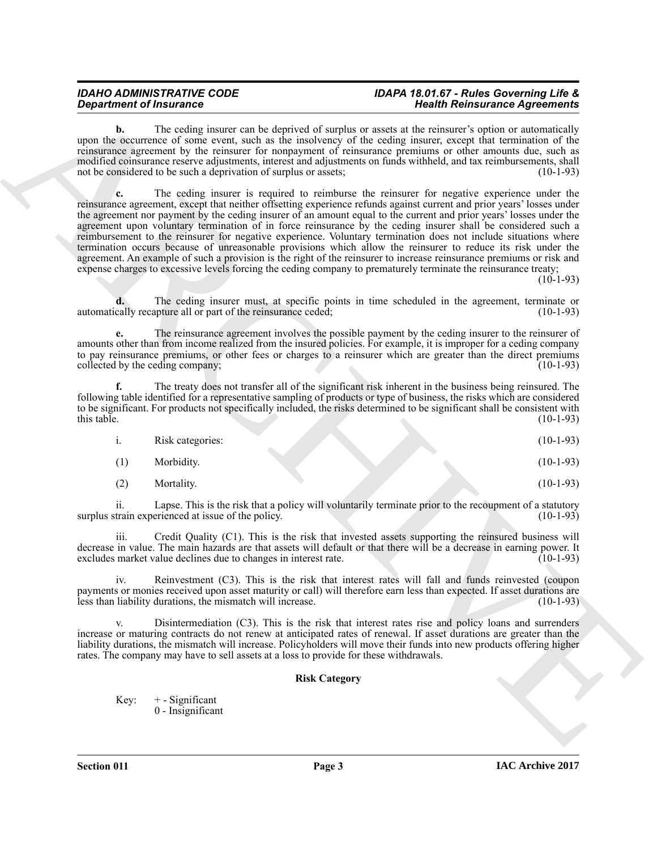#### *IDAHO ADMINISTRATIVE CODE IDAPA 18.01.67 - Rules Governing Life & Department of Insurance Health Reinsurance Agreements*

The ceding insurer can be deprived of surplus or assets at the reinsurer's option or automatically upon the occurrence of some event, such as the insolvency of the ceding insurer, except that termination of the reinsurance agreement by the reinsurer for nonpayment of reinsurance premiums or other amounts due, such as modified coinsurance reserve adjustments, interest and adjustments on funds withheld, and tax reimbursements, shall not be considered to be such a deprivation of surplus or assets; (10-1-93)

**Expansion of Francesco Constraints of the second of the second interaction of the constraints of the second of the second of the second of the second of the second of the second of the second of the second of the second c.** The ceding insurer is required to reimburse the reinsurer for negative experience under the reinsurance agreement, except that neither offsetting experience refunds against current and prior years' losses under the agreement nor payment by the ceding insurer of an amount equal to the current and prior years' losses under the agreement upon voluntary termination of in force reinsurance by the ceding insurer shall be considered such a reimbursement to the reinsurer for negative experience. Voluntary termination does not include situations where termination occurs because of unreasonable provisions which allow the reinsurer to reduce its risk under the agreement. An example of such a provision is the right of the reinsurer to increase reinsurance premiums or risk and expense charges to excessive levels forcing the ceding company to prematurely terminate the reinsurance treaty;

 $(10-1-93)$ 

**d.** The ceding insurer must, at specific points in time scheduled in the agreement, terminate or cally recapture all or part of the reinsurance ceded: (10-1-93) automatically recapture all or part of the reinsurance ceded;

**e.** The reinsurance agreement involves the possible payment by the ceding insurer to the reinsurer of amounts other than from income realized from the insured policies. For example, it is improper for a ceding company to pay reinsurance premiums, or other fees or charges to a reinsurer which are greater than the direct premiums collected by the ceding company; collected by the ceding company;

**f.** The treaty does not transfer all of the significant risk inherent in the business being reinsured. The following table identified for a representative sampling of products or type of business, the risks which are considered to be significant. For products not specifically included, the risks determined to be significant shall be consistent with this table. (10-1-93) this table.  $(10-1-93)$ 

| <br>Risk categories: |  | $(10-1-93)$ |
|----------------------|--|-------------|
| Morbidity.           |  | $(10-1-93)$ |

(2) Mortality. (10-1-93)

ii. Lapse. This is the risk that a policy will voluntarily terminate prior to the recoupment of a statutory train experienced at issue of the policy. (10-1-93) surplus strain experienced at issue of the policy.

Credit Quality (C1). This is the risk that invested assets supporting the reinsured business will decrease in value. The main hazards are that assets will default or that there will be a decrease in earning power. It excludes market value declines due to changes in interest rate.

iv. Reinvestment (C3). This is the risk that interest rates will fall and funds reinvested (coupon payments or monies received upon asset maturity or call) will therefore earn less than expected. If asset durations are less than liability durations, the mismatch will increase. (10-1-93) less than liability durations, the mismatch will increase.

Disintermediation (C3). This is the risk that interest rates rise and policy loans and surrenders increase or maturing contracts do not renew at anticipated rates of renewal. If asset durations are greater than the liability durations, the mismatch will increase. Policyholders will move their funds into new products offering higher rates. The company may have to sell assets at a loss to provide for these withdrawals.

### **Risk Category**

Key:  $+ -$  Significant 0 - Insignificant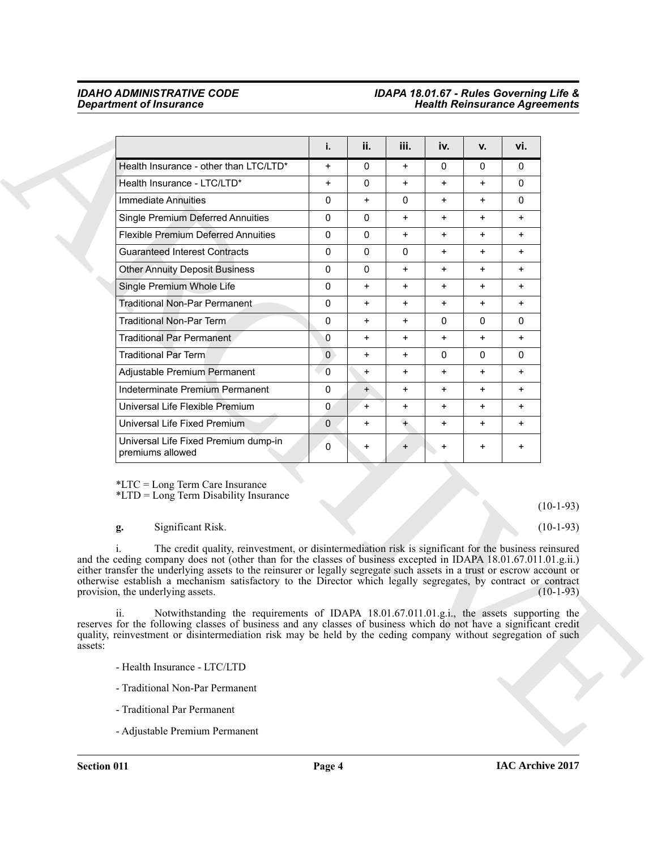### *IDAHO ADMINISTRATIVE CODE IDAPA 18.01.67 - Rules Governing Life & Department of Insurance Health Reinsurance Agreements*

|                                                                                                                                                                                                                                                                                                                                                                                                                                                                                                             | i.           | ii.          | iii.      | iv.          | v.           | vi.          |             |
|-------------------------------------------------------------------------------------------------------------------------------------------------------------------------------------------------------------------------------------------------------------------------------------------------------------------------------------------------------------------------------------------------------------------------------------------------------------------------------------------------------------|--------------|--------------|-----------|--------------|--------------|--------------|-------------|
| Health Insurance - other than LTC/LTD*                                                                                                                                                                                                                                                                                                                                                                                                                                                                      | $\ddot{}$    | $\mathbf{0}$ | $\ddot{}$ | $\mathbf{0}$ | $\mathbf{0}$ | $\mathbf{0}$ |             |
| Health Insurance - LTC/LTD*                                                                                                                                                                                                                                                                                                                                                                                                                                                                                 | $\ddot{}$    | 0            | $\ddot{}$ | $\ddot{}$    | $\ddot{}$    | 0            |             |
| Immediate Annuities                                                                                                                                                                                                                                                                                                                                                                                                                                                                                         | 0            | $+$          | 0         | $\ddot{}$    | $+$          | $\mathbf{0}$ |             |
| <b>Single Premium Deferred Annuities</b>                                                                                                                                                                                                                                                                                                                                                                                                                                                                    | 0            | $\mathbf{0}$ | $\ddot{}$ | $\ddot{}$    | $\ddot{}$    | $\ddot{}$    |             |
| <b>Flexible Premium Deferred Annuities</b>                                                                                                                                                                                                                                                                                                                                                                                                                                                                  | 0            | 0            | $\ddot{}$ | $\ddot{}$    | $\ddot{}$    | $\ddot{}$    |             |
| <b>Guaranteed Interest Contracts</b>                                                                                                                                                                                                                                                                                                                                                                                                                                                                        | 0            | $\Omega$     | 0         | $\ddot{}$    | $+$          | $\ddot{}$    |             |
| <b>Other Annuity Deposit Business</b>                                                                                                                                                                                                                                                                                                                                                                                                                                                                       | 0            | $\mathbf{0}$ | $\ddot{}$ | $\ddot{}$    | $\ddot{}$    | $\ddot{}$    |             |
| Single Premium Whole Life                                                                                                                                                                                                                                                                                                                                                                                                                                                                                   | 0            | $\ddot{}$    | $\ddot{}$ | $\ddot{}$    | $\ddot{}$    | $\ddot{}$    |             |
| <b>Traditional Non-Par Permanent</b>                                                                                                                                                                                                                                                                                                                                                                                                                                                                        | 0            | $+$          | $\ddot{}$ | $\ddot{}$    | $+$          | $\ddot{}$    |             |
| <b>Traditional Non-Par Term</b>                                                                                                                                                                                                                                                                                                                                                                                                                                                                             | 0            | $\ddot{}$    | $\ddot{}$ | $\mathbf{0}$ | 0            | $\mathbf{0}$ |             |
| Traditional Par Permanent                                                                                                                                                                                                                                                                                                                                                                                                                                                                                   | 0            | $\ddot{}$    | $\ddot{}$ | $\ddot{}$    | $\ddot{}$    | $\ddot{}$    |             |
| <b>Traditional Par Term</b>                                                                                                                                                                                                                                                                                                                                                                                                                                                                                 | $\mathbf{0}$ | $\ddot{}$    | $\ddot{}$ | $\mathbf{0}$ | $\mathbf{0}$ | $\mathbf{0}$ |             |
| Adjustable Premium Permanent                                                                                                                                                                                                                                                                                                                                                                                                                                                                                | $\mathbf 0$  | $\ddot{}$    | $\ddot{}$ | $\ddot{}$    | $\ddot{}$    | $\ddot{}$    |             |
| Indeterminate Premium Permanent                                                                                                                                                                                                                                                                                                                                                                                                                                                                             | 0            | $+$          | $\ddot{}$ | $\ddot{}$    | $\ddot{}$    | $\ddot{}$    |             |
| Universal Life Flexible Premium                                                                                                                                                                                                                                                                                                                                                                                                                                                                             | $\mathbf{0}$ | $+$          | $\ddot{}$ | $\ddot{}$    | $+$          | $\ddot{}$    |             |
| Universal Life Fixed Premium                                                                                                                                                                                                                                                                                                                                                                                                                                                                                | $\mathbf{0}$ | $+$          | $+$       | $\ddot{}$    | $\ddot{}$    | $+$          |             |
| Universal Life Fixed Premium dump-in<br>premiums allowed                                                                                                                                                                                                                                                                                                                                                                                                                                                    | 0            | $\ddot{}$    | $\ddot{}$ | $\ddot{}$    | $\ddot{}$    | $\ddot{}$    |             |
| *LTC = Long Term Care Insurance<br>*LTD = Long Term Disability Insurance                                                                                                                                                                                                                                                                                                                                                                                                                                    |              |              |           |              |              |              | $(10-1-93)$ |
| Significant Risk.<br>g.                                                                                                                                                                                                                                                                                                                                                                                                                                                                                     |              |              |           |              |              |              | $(10-1-93)$ |
| The credit quality, reinvestment, or disintermediation risk is significant for the business reinsured<br>and the ceding company does not (other than for the classes of business excepted in IDAPA 18.01.67.011.01.g.ii.)<br>either transfer the underlying assets to the reinsurer or legally segregate such assets in a trust or escrow account or<br>otherwise establish a mechanism satisfactory to the Director which legally segregates, by contract or contract<br>provision, the underlying assets. |              |              |           |              |              |              | $(10-1-93)$ |
| Notwithstanding the requirements of IDAPA 18.01.67.011.01.g.i., the assets supporting the<br>ii.<br>reserves for the following classes of business and any classes of business which do not have a significant credit<br>quality, reinvestment or disintermediation risk may be held by the ceding company without segregation of such<br>assets:                                                                                                                                                           |              |              |           |              |              |              |             |
| - Health Insurance - LTC/LTD                                                                                                                                                                                                                                                                                                                                                                                                                                                                                |              |              |           |              |              |              |             |
| - Traditional Non-Par Permanent                                                                                                                                                                                                                                                                                                                                                                                                                                                                             |              |              |           |              |              |              |             |
| - Traditional Par Permanent                                                                                                                                                                                                                                                                                                                                                                                                                                                                                 |              |              |           |              |              |              |             |

- Health Insurance LTC/LTD
- Traditional Non-Par Permanent
- Traditional Par Permanent
- Adjustable Premium Permanent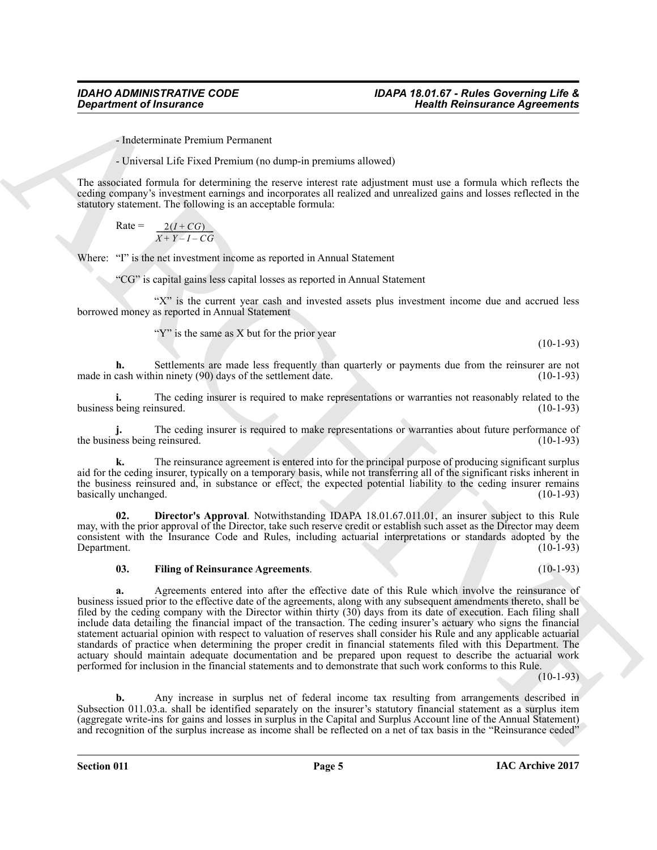- Indeterminate Premium Permanent

- Universal Life Fixed Premium (no dump-in premiums allowed)

The associated formula for determining the reserve interest rate adjustment must use a formula which reflects the ceding company's investment earnings and incorporates all realized and unrealized gains and losses reflected in the statutory statement. The following is an acceptable formula:

 $Rate =$  $\frac{2(I+CG)}{X+Y-I-CG}$ 

Where: "I" is the net investment income as reported in Annual Statement

"CG" is capital gains less capital losses as reported in Annual Statement

"X" is the current year cash and invested assets plus investment income due and accrued less borrowed money as reported in Annual Statement

"Y" is the same as X but for the prior year

(10-1-93)

**h.** Settlements are made less frequently than quarterly or payments due from the reinsurer are not cash within ninety (90) days of the settlement date. (10-1-93) made in cash within ninety  $(90)$  days of the settlement date.

**i.** The ceding insurer is required to make representations or warranties not reasonably related to the being reinsured. (10-1-93) business being reinsured.

**j.** The ceding insurer is required to make representations or warranties about future performance of less being reinsured. (10-1-93) the business being reinsured.

**k.** The reinsurance agreement is entered into for the principal purpose of producing significant surplus aid for the ceding insurer, typically on a temporary basis, while not transferring all of the significant risks inherent in the business reinsured and, in substance or effect, the expected potential liability to the ceding insurer remains basically unchanged. (10-1-93) basically unchanged.

**02. Director's Approval**. Notwithstanding IDAPA 18.01.67.011.01, an insurer subject to this Rule may, with the prior approval of the Director, take such reserve credit or establish such asset as the Director may deem consistent with the Insurance Code and Rules, including actuarial interpretations or standards adopted by the Department.

#### <span id="page-4-1"></span><span id="page-4-0"></span>**03. Filing of Reinsurance Agreements**. (10-1-93)

**Construent of fraction constructs:**<br>
Law construct the material of the material construction in the set of the set of the set of the set of the set of the set of the set of the set of the set of the set of the set of the **a.** Agreements entered into after the effective date of this Rule which involve the reinsurance of business issued prior to the effective date of the agreements, along with any subsequent amendments thereto, shall be filed by the ceding company with the Director within thirty (30) days from its date of execution. Each filing shall include data detailing the financial impact of the transaction. The ceding insurer's actuary who signs the financial statement actuarial opinion with respect to valuation of reserves shall consider his Rule and any applicable actuarial standards of practice when determining the proper credit in financial statements filed with this Department. The actuary should maintain adequate documentation and be prepared upon request to describe the actuarial work performed for inclusion in the financial statements and to demonstrate that such work conforms to this Rule.

 $(10-1-93)$ 

**b.** Any increase in surplus net of federal income tax resulting from arrangements described in Subsection 011.03.a. shall be identified separately on the insurer's statutory financial statement as a surplus item (aggregate write-ins for gains and losses in surplus in the Capital and Surplus Account line of the Annual Statement) and recognition of the surplus increase as income shall be reflected on a net of tax basis in the "Reinsurance ceded"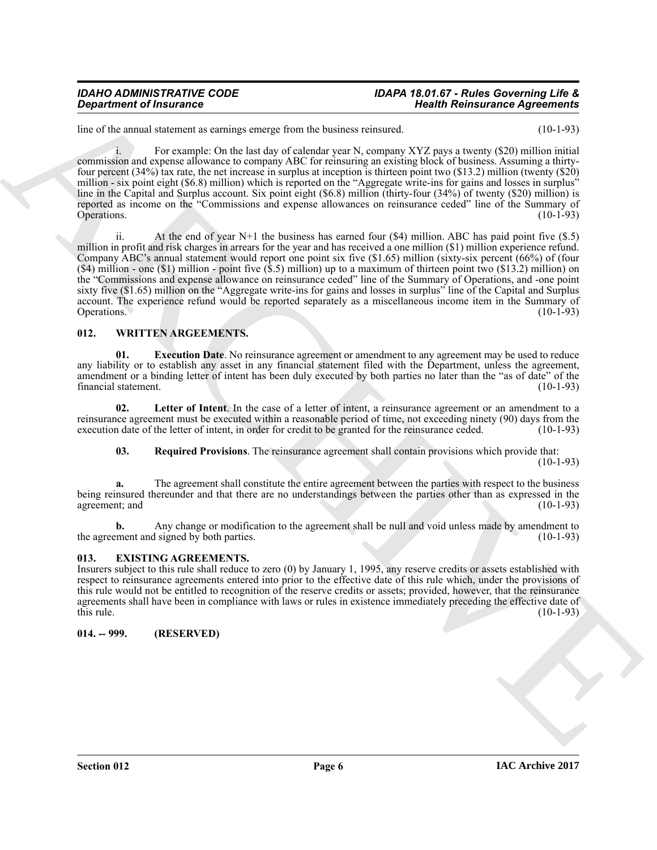#### *IDAHO ADMINISTRATIVE CODE IDAPA 18.01.67 - Rules Governing Life & Department of Insurance Health Reinsurance Agreements*

line of the annual statement as earnings emerge from the business reinsured. (10-1-93)

i. For example: On the last day of calendar year N, company XYZ pays a twenty (\$20) million initial commission and expense allowance to company ABC for reinsuring an existing block of business. Assuming a thirtyfour percent (34%) tax rate, the net increase in surplus at inception is thirteen point two (\$13.2) million (twenty (\$20) million - six point eight (\$6.8) million) which is reported on the "Aggregate write-ins for gains and losses in surplus" line in the Capital and Surplus account. Six point eight (\$6.8) million (thirty-four (34%) of twenty (\$20) million) is reported as income on the "Commissions and expense allowances on reinsurance ceded" line of the Summary of Operations. Operations. (10-1-93)

**Department of fractraces**<br>
Into the state state of the state state is the basica constant of the state state of a procedure of Aproximation<br>
Solution and the constant of the state of the state state is the state of the s ii. At the end of year N+1 the business has earned four (\$4) million. ABC has paid point five (\$.5) million in profit and risk charges in arrears for the year and has received a one million (\$1) million experience refund. Company ABC's annual statement would report one point six five (\$1.65) million (sixty-six percent (66%) of (four  $(\$4)$  million - one  $(\$1)$  million - point five  $(\$.5)$  million) up to a maximum of thirteen point two  $(\$13.2)$  million) on the "Commissions and expense allowance on reinsurance ceded" line of the Summary of Operations, and -one point sixty five (\$1.65) million on the "Aggregate write-ins for gains and losses in surplus" line of the Capital and Surplus account. The experience refund would be reported separately as a miscellaneous income item in the Summary of Operations. (10-1-93) Operations. (10-1-93)

### <span id="page-5-4"></span><span id="page-5-0"></span>**012. WRITTEN ARGEEMENTS.**

<span id="page-5-5"></span>**01.** Execution Date. No reinsurance agreement or amendment to any agreement may be used to reduce any liability or to establish any asset in any financial statement filed with the Department, unless the agreement, amendment or a binding letter of intent has been duly executed by both parties no later than the "as of date" of the financial statement. (10-1-93)

**02. Letter of Intent**. In the case of a letter of intent, a reinsurance agreement or an amendment to a reinsurance agreement must be executed within a reasonable period of time, not exceeding ninety (90) days from the execution date of the letter of intent, in order for credit to be granted for the reinsurance ceded. (10-1execution date of the letter of intent, in order for credit to be granted for the reinsurance ceded.

<span id="page-5-7"></span><span id="page-5-6"></span>**03. Required Provisions**. The reinsurance agreement shall contain provisions which provide that: (10-1-93)

**a.** The agreement shall constitute the entire agreement between the parties with respect to the business being reinsured thereunder and that there are no understandings between the parties other than as expressed in the agreement; and (10-1-93) agreement; and

**b.** Any change or modification to the agreement shall be null and void unless made by amendment to ment and signed by both parties. (10-1-93) the agreement and signed by both parties.

### <span id="page-5-3"></span><span id="page-5-1"></span>**013. EXISTING AGREEMENTS.**

Insurers subject to this rule shall reduce to zero (0) by January 1, 1995, any reserve credits or assets established with respect to reinsurance agreements entered into prior to the effective date of this rule which, under the provisions of this rule would not be entitled to recognition of the reserve credits or assets; provided, however, that the reinsurance agreements shall have been in compliance with laws or rules in existence immediately preceding the effective date of this rule. (10-1-93) this rule.  $(10-1-93)$ 

### <span id="page-5-2"></span>**014. -- 999. (RESERVED)**